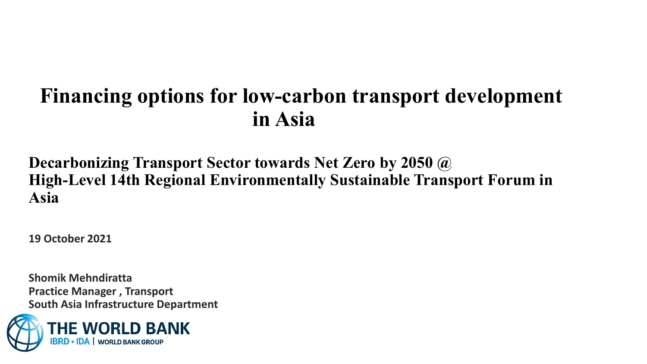### **Financing options for low-carbon transport development in Asia**

### **Decarbonizing Transport Sector towards Net Zero by 2050 @ High-Level 14th Regional Environmentally Sustainable Transport Forum in Asia**

**19 October 2021**

**Shomik Mehndiratta Practice Manager , Transport South Asia Infrastructure Department**

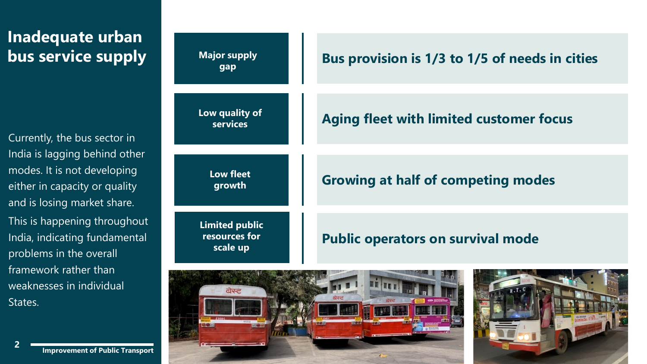### **Inadequate urban bus service supply**

Currently, the bus sector in India is lagging behind other modes. It is not developing either in capacity or quality and is losing market share. This is happening throughout India, indicating fundamental problems in the overall framework rather than weaknesses in individual States.





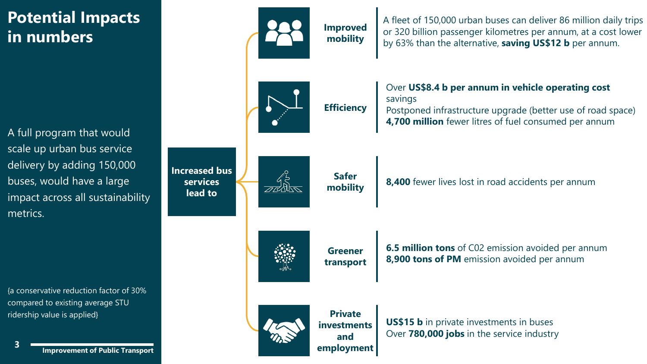### **Potential Impacts in numbers**

A full program that would scale up urban bus service delivery by adding 150,000 buses, would have a large impact across all sustainability metrics.

{a conservative reduction factor of 30% compared to existing average STU ridership value is applied}

**Improvement of Public Transport <sup>3</sup>**

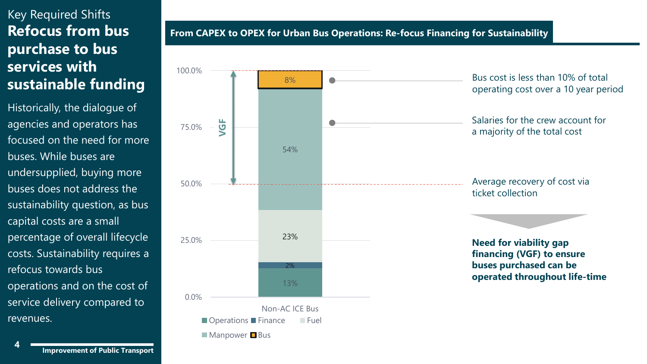#### Key Required Shifts **Refocus from bus purchase to bus services with sustainable funding**

Historically, the dialogue of agencies and operators has focused on the need for more buses. While buses are undersupplied, buying more buses does not address the sustainability question, as bus capital costs are a small percentage of overall lifecycle costs. Sustainability requires a refocus towards bus operations and on the cost of service delivery compared to revenues.

**From CAPEX to OPEX for Urban Bus Operations: Re-focus Financing for Sustainability** 



 $\blacksquare$  Manpower  $\blacksquare$  Bus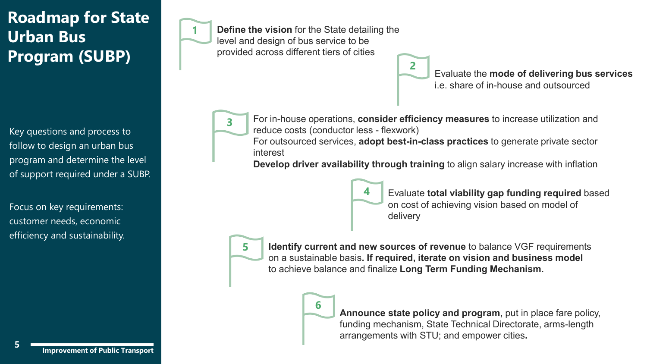### **Roadmap for State Urban Bus Program (SUBP)**

Key questions and process to follow to design an urban bus program and determine the level of support required under a SUBP.

Focus on key requirements: customer needs, economic efficiency and sustainability. **Define the vision** for the State detailing the level and design of bus service to be provided across different tiers of cities

> Evaluate the **mode of delivering bus services**  i.e. share of in-house and outsourced



**3** For in-house operations, **consider efficiency measures** to increase utilization and reduce costs (conductor less - flexwork)

**2**

For outsourced services, **adopt best-in-class practices** to generate private sector interest

**Develop driver availability through training** to align salary increase with inflation



**4** Evaluate **total viability gap funding required** based on cost of achieving vision based on model of delivery



**5 Identify current and new sources of revenue** to balance VGF requirements on a sustainable basis**. If required, iterate on vision and business model**  to achieve balance and finalize **Long Term Funding Mechanism.**



**Announce state policy and program, put in place fare policy,** funding mechanism, State Technical Directorate, arms-length arrangements with STU; and empower cities**.**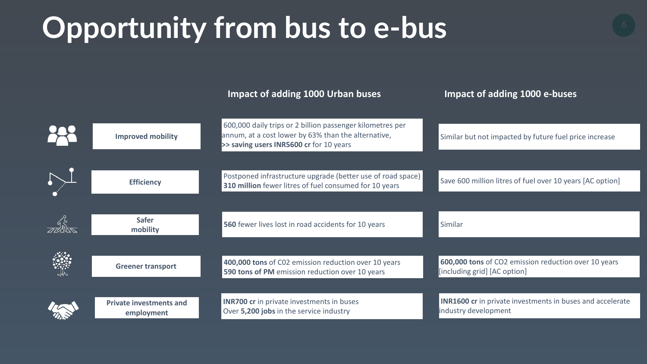# **Opportunity from bus to e-bus**

|                                              | Impact of adding 1000 Urban buses                                                                                                                           | Impact of adding 1000 e-buses                                                            |
|----------------------------------------------|-------------------------------------------------------------------------------------------------------------------------------------------------------------|------------------------------------------------------------------------------------------|
|                                              |                                                                                                                                                             |                                                                                          |
| <b>Improved mobility</b>                     | 600,000 daily trips or 2 billion passenger kilometres per<br>annum, at a cost lower by 63% than the alternative,<br>>> saving users INR5600 cr for 10 years | Similar but not impacted by future fuel price increase                                   |
|                                              |                                                                                                                                                             |                                                                                          |
| <b>Efficiency</b>                            | Postponed infrastructure upgrade (better use of road space)<br>310 million fewer litres of fuel consumed for 10 years                                       | Save 600 million litres of fuel over 10 years [AC option]                                |
|                                              |                                                                                                                                                             |                                                                                          |
| <b>Safer</b><br>mobility                     | 560 fewer lives lost in road accidents for 10 years                                                                                                         | Similar                                                                                  |
|                                              |                                                                                                                                                             |                                                                                          |
| <b>Greener transport</b>                     | 400,000 tons of C02 emission reduction over 10 years<br>590 tons of PM emission reduction over 10 years                                                     | 600,000 tons of CO2 emission reduction over 10 years<br>[including grid] [AC option]     |
|                                              |                                                                                                                                                             |                                                                                          |
| <b>Private investments and</b><br>employment | <b>INR700 cr</b> in private investments in buses<br>Over 5,200 jobs in the service industry                                                                 | <b>INR1600 cr</b> in private investments in buses and accelerate<br>industry development |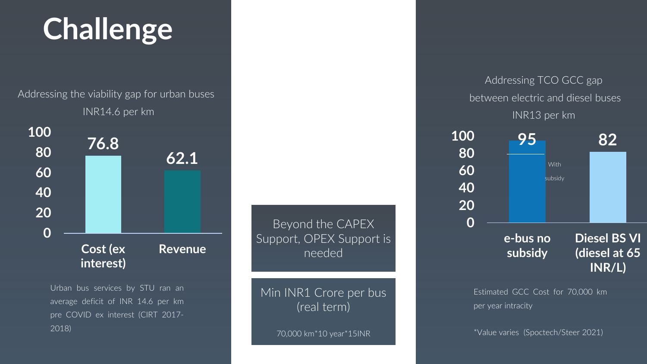# **Challenge**

Addressing the viability gap for urban buses INR14.6 per km



Urban bus services by STU ran an average deficit of INR 14.6 per km pre COVID ex interest (CIRT 2017- 2018)

Beyond the CAPEX Support, OPEX Support is needed

Min INR1 Crore per bus (real term)

70,000 km\*10 year\*15INR

#### Addressing TCO GCC gap between electric and diesel buses INR13 per km



Estimated GCC Cost for 70,000 km per year intracity

\*Value varies (Spoctech/Steer 2021)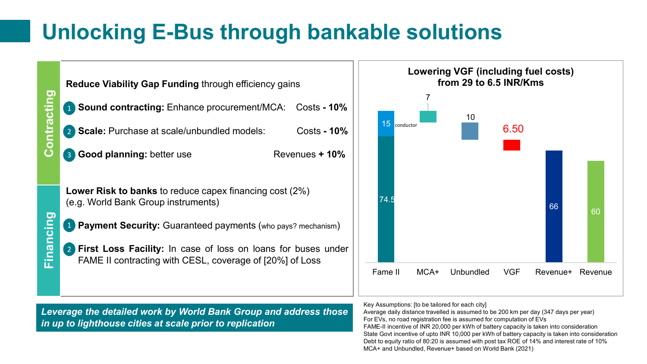## **Unlocking E-Bus through bankable solutions**





*Leverage the detailed work by World Bank Group and address those in up to lighthouse cities at scale prior to replication*

Key Assumptions: [to be tailored for each city]

Average daily distance travelled is assumed to be 200 km per day (347 days per year) For EVs, no road registration fee is assumed for computation of EVs FAME-II incentive of INR 20,000 per kWh of battery capacity is taken into consideration State Govt incentive of upto INR 10,000 per kWh of battery capacity is taken into consideration Debt to equity ratio of 80:20 is assumed with post tax ROE of 14% and interest rate of 10% MCA+ and Unbundled, Revenue+ based on World Bank (2021)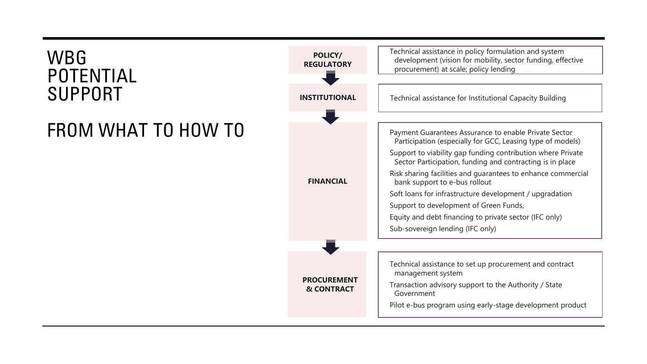### WBG POTENTIAL SUPPORT

### FROM WHAT TO HOW TO

**PROCUREMENT & CONTRACT POLICY/ REGULATORY INSTITUTIONAL FINANCIAL** Technical assistance to set up procurement and contract management system Transaction advisory support to the Authority / State Government Pilot e-bus program using early-stage development product Technical assistance in policy formulation and system development (vision for mobility, sector funding, effective procurement) at scale; policy lending Technical assistance for Institutional Capacity Building Payment Guarantees Assurance to enable Private Sector Participation (especially for GCC, Leasing type of models) Support to viability gap funding contribution where Private Sector Participation, funding and contracting is in place Risk sharing facilities and guarantees to enhance commercial bank support to e-bus rollout Soft loans for infrastructure development / upgradation Support to development of Green Funds, Equity and debt financing to private sector (IFC only) Sub-sovereign lending (IFC only)